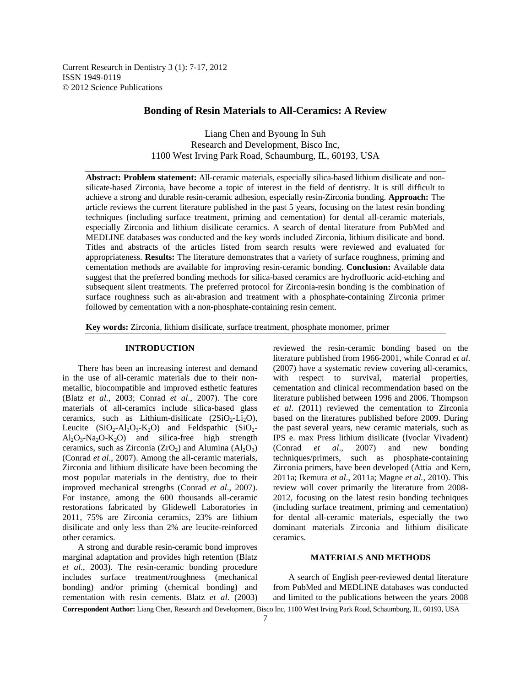Current Research in Dentistry 3 (1): 7-17, 2012 ISSN 1949-0119 © 2012 Science Publications

# **Bonding of Resin Materials to All-Ceramics: A Review**

Liang Chen and Byoung In Suh Research and Development, Bisco Inc, 1100 West Irving Park Road, Schaumburg, IL, 60193, USA

**Abstract: Problem statement:** All-ceramic materials, especially silica-based lithium disilicate and nonsilicate-based Zirconia, have become a topic of interest in the field of dentistry. It is still difficult to achieve a strong and durable resin-ceramic adhesion, especially resin-Zirconia bonding. **Approach:** The article reviews the current literature published in the past 5 years, focusing on the latest resin bonding techniques (including surface treatment, priming and cementation) for dental all-ceramic materials, especially Zirconia and lithium disilicate ceramics. A search of dental literature from PubMed and MEDLINE databases was conducted and the key words included Zirconia, lithium disilicate and bond. Titles and abstracts of the articles listed from search results were reviewed and evaluated for appropriateness. **Results:** The literature demonstrates that a variety of surface roughness, priming and cementation methods are available for improving resin-ceramic bonding. **Conclusion:** Available data suggest that the preferred bonding methods for silica-based ceramics are hydrofluoric acid-etching and subsequent silent treatments. The preferred protocol for Zirconia-resin bonding is the combination of surface roughness such as air-abrasion and treatment with a phosphate-containing Zirconia primer followed by cementation with a non-phosphate-containing resin cement.

**Key words:** Zirconia, lithium disilicate, surface treatment, phosphate monomer, primer

## **INTRODUCTION**

 There has been an increasing interest and demand in the use of all-ceramic materials due to their nonmetallic, biocompatible and improved esthetic features (Blatz *et al*., 2003; Conrad *et al*., 2007). The core materials of all-ceramics include silica-based glass ceramics, such as Lithium-disilicate  $(2SiO<sub>2</sub>-Li<sub>2</sub>O)$ , Leucite  $(SiO_2-Al_2O_3-K_2O)$  and Feldspathic  $(SiO_2-Al_2O_3-K_2O)$  $Al_2O_3-Na_2O-K_2O$  and silica-free high strength ceramics, such as Zirconia ( $ZrO<sub>2</sub>$ ) and Alumina ( $Al<sub>2</sub>O<sub>3</sub>$ ) (Conrad *et al*., 2007). Among the all-ceramic materials, Zirconia and lithium disilicate have been becoming the most popular materials in the dentistry, due to their improved mechanical strengths (Conrad *et al*., 2007). For instance, among the 600 thousands all-ceramic restorations fabricated by Glidewell Laboratories in 2011, 75% are Zirconia ceramics, 23% are lithium disilicate and only less than 2% are leucite-reinforced other ceramics.

 A strong and durable resin-ceramic bond improves marginal adaptation and provides high retention (Blatz *et al*., 2003). The resin-ceramic bonding procedure includes surface treatment/roughness (mechanical bonding) and/or priming (chemical bonding) and cementation with resin cements. Blatz *et al*. (2003)

reviewed the resin-ceramic bonding based on the literature published from 1966-2001, while Conrad *et al*. (2007) have a systematic review covering all-ceramics, with respect to survival, material properties, cementation and clinical recommendation based on the literature published between 1996 and 2006. Thompson *et al*. (2011) reviewed the cementation to Zirconia based on the literatures published before 2009. During the past several years, new ceramic materials, such as IPS e. max Press lithium disilicate (Ivoclar Vivadent) (Conrad *et al*., 2007) and new bonding techniques/primers, such as phosphate-containing Zirconia primers, have been developed (Attia and Kern, 2011a; Ikemura *et al*., 2011a; Magne *et al.,* 2010). This review will cover primarily the literature from 2008- 2012, focusing on the latest resin bonding techniques (including surface treatment, priming and cementation) for dental all-ceramic materials, especially the two dominant materials Zirconia and lithium disilicate ceramics.

# **MATERIALS AND METHODS**

 A search of English peer-reviewed dental literature from PubMed and MEDLINE databases was conducted and limited to the publications between the years 2008

**Correspondent Author:** Liang Chen, Research and Development, Bisco Inc, 1100 West Irving Park Road, Schaumburg, IL, 60193, USA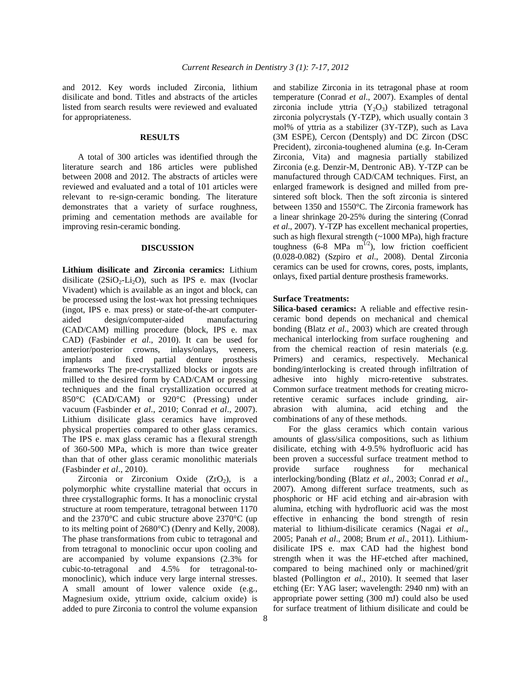and 2012. Key words included Zirconia, lithium disilicate and bond. Titles and abstracts of the articles listed from search results were reviewed and evaluated for appropriateness.

#### **RESULTS**

 A total of 300 articles was identified through the literature search and 186 articles were published between 2008 and 2012. The abstracts of articles were reviewed and evaluated and a total of 101 articles were relevant to re-sign-ceramic bonding. The literature demonstrates that a variety of surface roughness, priming and cementation methods are available for improving resin-ceramic bonding.

## **DISCUSSION**

**Lithium disilicate and Zirconia ceramics:** Lithium disilicate  $(2SiO<sub>2</sub>-Li<sub>2</sub>O)$ , such as IPS e. max (Ivoclar Vivadent) which is available as an ingot and block, can be processed using the lost-wax hot pressing techniques (ingot, IPS e. max press) or state-of-the-art computeraided design/computer-aided manufacturing (CAD/CAM) milling procedure (block, IPS e. max CAD) (Fasbinder *et al*., 2010). It can be used for anterior/posterior crowns, inlays/onlays, veneers, implants and fixed partial denture prosthesis frameworks The pre-crystallized blocks or ingots are milled to the desired form by CAD/CAM or pressing techniques and the final crystallization occurred at 850°C (CAD/CAM) or 920°C (Pressing) under vacuum (Fasbinder *et al*., 2010; Conrad *et al*., 2007). Lithium disilicate glass ceramics have improved physical properties compared to other glass ceramics. The IPS e. max glass ceramic has a flexural strength of 360-500 MPa, which is more than twice greater than that of other glass ceramic monolithic materials (Fasbinder *et al*., 2010).

Zirconia or Zirconium Oxide  $(ZrO<sub>2</sub>)$ , is a polymorphic white crystalline material that occurs in three crystallographic forms. It has a monoclinic crystal structure at room temperature, tetragonal between 1170 and the 2370°C and cubic structure above 2370°C (up to its melting point of 2680°C) (Denry and Kelly, 2008). The phase transformations from cubic to tetragonal and from tetragonal to monoclinic occur upon cooling and are accompanied by volume expansions (2.3% for cubic-to-tetragonal and 4.5% for tetragonal-tomonoclinic), which induce very large internal stresses. A small amount of lower valence oxide (e.g., Magnesium oxide, yttrium oxide, calcium oxide) is added to pure Zirconia to control the volume expansion

and stabilize Zirconia in its tetragonal phase at room temperature (Conrad *et al*., 2007). Examples of dental zirconia include yttria  $(Y_2O_3)$  stabilized tetragonal zirconia polycrystals (Y-TZP), which usually contain 3 mol% of yttria as a stabilizer (3Y-TZP), such as Lava (3M ESPE), Cercon (Dentsply) and DC Zircon (DSC Precident), zirconia-toughened alumina (e.g. In-Ceram Zirconia, Vita) and magnesia partially stabilized Zirconia (e.g. Denzir-M, Dentronic AB). Y-TZP can be manufactured through CAD/CAM techniques. First, an enlarged framework is designed and milled from presintered soft block. Then the soft zirconia is sintered between 1350 and 1550°C. The Zirconia framework has a linear shrinkage 20-25% during the sintering (Conrad *et al*., 2007). Y-TZP has excellent mechanical properties, such as high flexural strength (~1000 MPa), high fracture toughness  $(6-8 \text{ MPa m}^{1/2})$ , low friction coefficient (0.028-0.082) (Szpiro *et al*., 2008). Dental Zirconia ceramics can be used for crowns, cores, posts, implants, onlays, fixed partial denture prosthesis frameworks.

#### **Surface Treatments:**

**Silica-based ceramics:** A reliable and effective resinceramic bond depends on mechanical and chemical bonding (Blatz *et al*., 2003) which are created through mechanical interlocking from surface roughening and from the chemical reaction of resin materials (e.g. Primers) and ceramics, respectively. Mechanical bonding/interlocking is created through infiltration of adhesive into highly micro-retentive substrates. Common surface treatment methods for creating microretentive ceramic surfaces include grinding, airabrasion with alumina, acid etching and the combinations of any of these methods.

 For the glass ceramics which contain various amounts of glass/silica compositions, such as lithium disilicate, etching with 4-9.5% hydrofluoric acid has been proven a successful surface treatment method to provide surface roughness for mechanical interlocking/bonding (Blatz *et al*., 2003; Conrad *et al*., 2007). Among different surface treatments, such as phosphoric or HF acid etching and air-abrasion with alumina, etching with hydrofluoric acid was the most effective in enhancing the bond strength of resin material to lithium-disilicate ceramics (Nagai *et al*., 2005; Panah *et al*., 2008; Brum *et al*., 2011). Lithiumdisilicate IPS e. max CAD had the highest bond strength when it was the HF-etched after machined, compared to being machined only or machined/grit blasted (Pollington *et al*., 2010). It seemed that laser etching (Er: YAG laser; wavelength: 2940 nm) with an appropriate power setting (300 mJ) could also be used for surface treatment of lithium disilicate and could be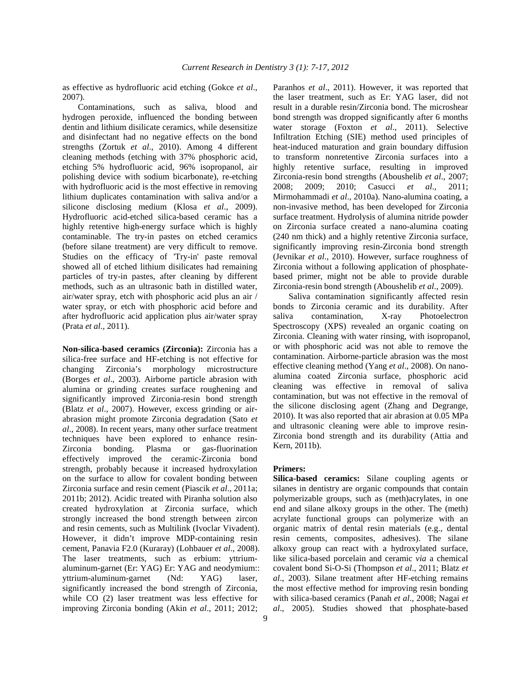as effective as hydrofluoric acid etching (Gokce *et al*., 2007).

 Contaminations, such as saliva, blood and hydrogen peroxide, influenced the bonding between dentin and lithium disilicate ceramics, while desensitize and disinfectant had no negative effects on the bond strengths (Zortuk *et al*., 2010). Among 4 different cleaning methods (etching with 37% phosphoric acid, etching 5% hydrofluoric acid, 96% isopropanol, air polishing device with sodium bicarbonate), re-etching with hydrofluoric acid is the most effective in removing lithium duplicates contamination with saliva and/or a silicone disclosing medium (Klosa *et al*., 2009). Hydrofluoric acid-etched silica-based ceramic has a highly retentive high-energy surface which is highly contaminable. The try-in pastes on etched ceramics (before silane treatment) are very difficult to remove. Studies on the efficacy of 'Try-in' paste removal showed all of etched lithium disilicates had remaining particles of try-in pastes, after cleaning by different methods, such as an ultrasonic bath in distilled water, air/water spray, etch with phosphoric acid plus an air / water spray, or etch with phosphoric acid before and after hydrofluoric acid application plus air/water spray (Prata *et al*., 2011).

**Non-silica-based ceramics (Zirconia):** Zirconia has a silica-free surface and HF-etching is not effective for changing Zirconia's morphology microstructure (Borges *et al*., 2003). Airborne particle abrasion with alumina or grinding creates surface roughening and significantly improved Zirconia-resin bond strength (Blatz *et al*., 2007). However, excess grinding or airabrasion might promote Zirconia degradation (Sato *et al*., 2008). In recent years, many other surface treatment techniques have been explored to enhance resin-Zirconia bonding. Plasma or gas-fluorination effectively improved the ceramic-Zirconia bond strength, probably because it increased hydroxylation on the surface to allow for covalent bonding between Zirconia surface and resin cement (Piascik *et al*., 2011a; 2011b; 2012). Acidic treated with Piranha solution also created hydroxylation at Zirconia surface, which strongly increased the bond strength between zircon and resin cements, such as Multilink (Ivoclar Vivadent). However, it didn't improve MDP-containing resin cement, Panavia F2.0 (Kuraray) (Lohbauer *et al*., 2008). The laser treatments, such as erbium: yttriumaluminum-garnet (Er: YAG) Er: YAG and neodymium:: yttrium-aluminum-garnet (Nd: YAG) laser, significantly increased the bond strength of Zirconia, while CO (2) laser treatment was less effective for improving Zirconia bonding (Akin *et al*., 2011; 2012;

Paranhos *et al*., 2011). However, it was reported that the laser treatment, such as Er: YAG laser, did not result in a durable resin/Zirconia bond. The microshear bond strength was dropped significantly after 6 months water storage (Foxton *et al*., 2011). Selective Infiltration Etching (SIE) method used principles of heat-induced maturation and grain boundary diffusion to transform nonretentive Zirconia surfaces into a highly retentive surface, resulting in improved Zirconia-resin bond strengths (Aboushelib *et al*., 2007; 2008; 2009; 2010; Casucci *et al*., 2011; Mirmohammadi *et al*., 2010a). Nano-alumina coating, a non-invasive method, has been developed for Zirconia surface treatment. Hydrolysis of alumina nitride powder on Zirconia surface created a nano-alumina coating (240 nm thick) and a highly retentive Zirconia surface, significantly improving resin-Zirconia bond strength (Jevnikar *et al*., 2010). However, surface roughness of Zirconia without a following application of phosphatebased primer, might not be able to provide durable Zirconia-resin bond strength (Aboushelib *et al*., 2009).

 Saliva contamination significantly affected resin bonds to Zirconia ceramic and its durability. After saliva contamination, X-ray Photoelectron Spectroscopy (XPS) revealed an organic coating on Zirconia. Cleaning with water rinsing, with isopropanol, or with phosphoric acid was not able to remove the contamination. Airborne-particle abrasion was the most effective cleaning method (Yang *et al*., 2008). On nanoalumina coated Zirconia surface, phosphoric acid cleaning was effective in removal of saliva contamination, but was not effective in the removal of the silicone disclosing agent (Zhang and Degrange, 2010). It was also reported that air abrasion at 0.05 MPa and ultrasonic cleaning were able to improve resin-Zirconia bond strength and its durability (Attia and Kern, 2011b).

#### **Primers:**

**Silica-based ceramics:** Silane coupling agents or silanes in dentistry are organic compounds that contain polymerizable groups, such as (meth)acrylates, in one end and silane alkoxy groups in the other. The (meth) acrylate functional groups can polymerize with an organic matrix of dental resin materials (e.g., dental resin cements, composites, adhesives). The silane alkoxy group can react with a hydroxylated surface, like silica-based porcelain and ceramic *via* a chemical covalent bond Si-O-Si (Thompson *et al*., 2011; Blatz *et al*., 2003). Silane treatment after HF-etching remains the most effective method for improving resin bonding with silica-based ceramics (Panah *et al*., 2008; Nagai *et al*., 2005). Studies showed that phosphate-based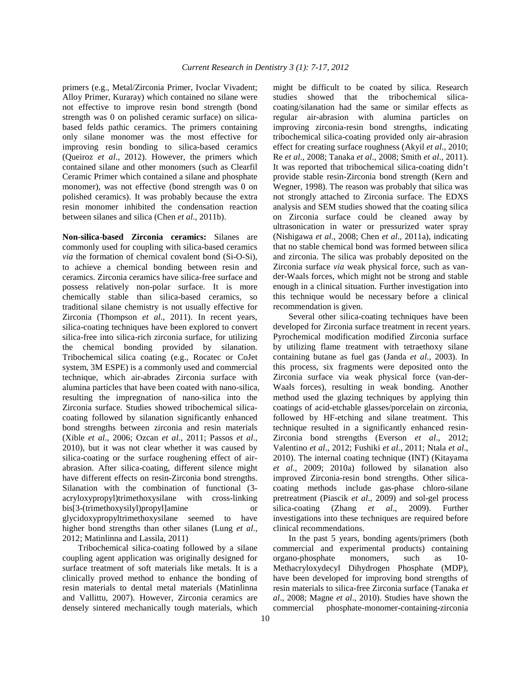primers (e.g., Metal/Zirconia Primer, Ivoclar Vivadent; Alloy Primer, Kuraray) which contained no silane were not effective to improve resin bond strength (bond strength was 0 on polished ceramic surface) on silicabased felds pathic ceramics. The primers containing only silane monomer was the most effective for improving resin bonding to silica-based ceramics (Queiroz *et al*., 2012). However, the primers which contained silane and other monomers (such as Clearfil Ceramic Primer which contained a silane and phosphate monomer), was not effective (bond strength was 0 on polished ceramics). It was probably because the extra resin monomer inhibited the condensation reaction between silanes and silica (Chen *et al*., 2011b).

**Non-silica-based Zirconia ceramics:** Silanes are commonly used for coupling with silica-based ceramics *via* the formation of chemical covalent bond (Si-O-Si), to achieve a chemical bonding between resin and ceramics. Zirconia ceramics have silica-free surface and possess relatively non-polar surface. It is more chemically stable than silica-based ceramics, so traditional silane chemistry is not usually effective for Zirconia (Thompson *et al*., 2011). In recent years, silica-coating techniques have been explored to convert silica-free into silica-rich zirconia surface, for utilizing the chemical bonding provided by silanation. Tribochemical silica coating (e.g., Rocatec or CoJet system, 3M ESPE) is a commonly used and commercial technique, which air-abrades Zirconia surface with alumina particles that have been coated with nano-silica, resulting the impregnation of nano-silica into the Zirconia surface. Studies showed tribochemical silicacoating followed by silanation significantly enhanced bond strengths between zirconia and resin materials (Xible *et al*., 2006; Ozcan *et al*., 2011; Passos *et al*., 2010), but it was not clear whether it was caused by silica-coating or the surface roughening effect of airabrasion. After silica-coating, different silence might have different effects on resin-Zirconia bond strengths. Silanation with the combination of functional (3 acryloxypropyl)trimethoxysilane with cross-linking bis[3-(trimethoxysilyl)propyl]amine or glycidoxypropyltrimethoxysilane seemed to have higher bond strengths than other silanes (Lung *et al*., 2012; Matinlinna and Lassila, 2011)

 Tribochemical silica-coating followed by a silane coupling agent application was originally designed for surface treatment of soft materials like metals. It is a clinically proved method to enhance the bonding of resin materials to dental metal materials (Matinlinna and Vallittu, 2007). However, Zirconia ceramics are densely sintered mechanically tough materials, which

might be difficult to be coated by silica. Research studies showed that the tribochemical silicacoating/silanation had the same or similar effects as regular air-abrasion with alumina particles on improving zirconia-resin bond strengths, indicating tribochemical silica-coating provided only air-abrasion effect for creating surface roughness (Akyil *et al*., 2010; Re *et al*., 2008; Tanaka *et al*., 2008; Smith *et al*., 2011). It was reported that tribochemical silica-coating didn't provide stable resin-Zirconia bond strength (Kern and Wegner, 1998). The reason was probably that silica was not strongly attached to Zirconia surface. The EDXS analysis and SEM studies showed that the coating silica on Zirconia surface could be cleaned away by ultrasonication in water or pressurized water spray (Nishigawa *et al*., 2008; Chen *et al*., 2011a), indicating that no stable chemical bond was formed between silica and zirconia. The silica was probably deposited on the Zirconia surface *via* weak physical force, such as vander-Waals forces, which might not be strong and stable enough in a clinical situation. Further investigation into this technique would be necessary before a clinical recommendation is given.

 Several other silica-coating techniques have been developed for Zirconia surface treatment in recent years. Pyrochemical modification modified Zirconia surface by utilizing flame treatment with tetraethoxy silane containing butane as fuel gas (Janda *et al*., 2003). In this process, six fragments were deposited onto the Zirconia surface via weak physical force (van-der-Waals forces), resulting in weak bonding. Another method used the glazing techniques by applying thin coatings of acid-etchable glasses/porcelain on zirconia, followed by HF-etching and silane treatment. This technique resulted in a significantly enhanced resin-Zirconia bond strengths (Everson *et al*., 2012; Valentino *et al*., 2012; Fushiki *et al*., 2011; Ntala *et al*., 2010). The internal coating technique (INT) (Kitayama *et al*., 2009; 2010a) followed by silanation also improved Zirconia-resin bond strengths. Other silicacoating methods include gas-phase chloro-silane pretreatment (Piascik *et al*., 2009) and sol-gel process silica-coating (Zhang *et al*., 2009). Further investigations into these techniques are required before clinical recommendations.

 In the past 5 years, bonding agents/primers (both commercial and experimental products) containing organo-phosphate monomers, such as 10- Methacryloxydecyl Dihydrogen Phosphate (MDP), have been developed for improving bond strengths of resin materials to silica-free Zirconia surface (Tanaka *et al*., 2008; Magne *et al*., 2010). Studies have shown the commercial phosphate-monomer-containing-zirconia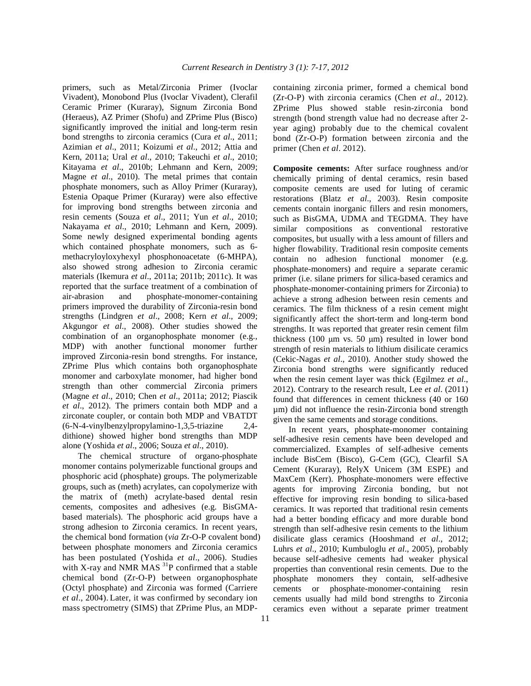primers, such as Metal/Zirconia Primer (Ivoclar Vivadent), Monobond Plus (Ivoclar Vivadent), Clerafil Ceramic Primer (Kuraray), Signum Zirconia Bond (Heraeus), AZ Primer (Shofu) and ZPrime Plus (Bisco) significantly improved the initial and long-term resin bond strengths to zirconia ceramics (Cura *et al*., 2011; Azimian *et al*., 2011; Koizumi *et al*., 2012; Attia and Kern, 2011a; Ural *et al*., 2010; Takeuchi *et al*., 2010; Kitayama *et al*., 2010b; Lehmann and Kern, 2009; Magne *et al*., 2010). The metal primes that contain phosphate monomers, such as Alloy Primer (Kuraray), Estenia Opaque Primer (Kuraray) were also effective for improving bond strengths between zirconia and resin cements (Souza *et al*., 2011; Yun *et al*., 2010; Nakayama *et al*., 2010; Lehmann and Kern, 2009). Some newly designed experimental bonding agents which contained phosphate monomers, such as 6 methacryloyloxyhexyl phosphonoacetate (6-MHPA), also showed strong adhesion to Zirconia ceramic materials (Ikemura *et al*., 2011a; 2011b; 2011c). It was reported that the surface treatment of a combination of air-abrasion and phosphate-monomer-containing primers improved the durability of Zirconia-resin bond strengths (Lindgren *et al*., 2008; Kern *et al*., 2009; Akgungor *et al*., 2008). Other studies showed the combination of an organophosphate monomer (e.g., MDP) with another functional monomer further improved Zirconia-resin bond strengths. For instance, ZPrime Plus which contains both organophosphate monomer and carboxylate monomer, had higher bond strength than other commercial Zirconia primers (Magne *et al*., 2010; Chen *et al*., 2011a; 2012; Piascik *et al*., 2012). The primers contain both MDP and a zirconate coupler, or contain both MDP and VBATDT (6-N-4-vinylbenzylpropylamino-1,3,5-triazine 2,4 dithione) showed higher bond strengths than MDP alone (Yoshida *et al*., 2006; Souza *et al*., 2010).

 The chemical structure of organo-phosphate monomer contains polymerizable functional groups and phosphoric acid (phosphate) groups. The polymerizable groups, such as (meth) acrylates, can copolymerize with the matrix of (meth) acrylate-based dental resin cements, composites and adhesives (e.g. BisGMAbased materials). The phosphoric acid groups have a strong adhesion to Zirconia ceramics. In recent years, the chemical bond formation (*via* Zr-O-P covalent bond) between phosphate monomers and Zirconia ceramics has been postulated (Yoshida *et al*., 2006). Studies with X-ray and NMR MAS  $^{31}P$  confirmed that a stable chemical bond (Zr-O-P) between organophosphate (Octyl phosphate) and Zirconia was formed (Carriere *et al*., 2004). Later, it was confirmed by secondary ion mass spectrometry (SIMS) that ZPrime Plus, an MDP-

containing zirconia primer, formed a chemical bond (Zr-O-P) with zirconia ceramics (Chen *et al*., 2012). ZPrime Plus showed stable resin-zirconia bond strength (bond strength value had no decrease after 2 year aging) probably due to the chemical covalent bond (Zr-O-P) formation between zirconia and the primer (Chen *et al*. 2012).

**Composite cements:** After surface roughness and/or chemically priming of dental ceramics, resin based composite cements are used for luting of ceramic restorations (Blatz *et al*., 2003). Resin composite cements contain inorganic fillers and resin monomers, such as BisGMA, UDMA and TEGDMA. They have similar compositions as conventional restorative composites, but usually with a less amount of fillers and higher flowability. Traditional resin composite cements contain no adhesion functional monomer (e.g. phosphate-monomers) and require a separate ceramic primer (i.e. silane primers for silica-based ceramics and phosphate-monomer-containing primers for Zirconia) to achieve a strong adhesion between resin cements and ceramics. The film thickness of a resin cement might significantly affect the short-term and long-term bond strengths. It was reported that greater resin cement film thickness (100  $\mu$ m vs. 50  $\mu$ m) resulted in lower bond strength of resin materials to lithium disilicate ceramics (Cekic-Nagas *et al*., 2010). Another study showed the Zirconia bond strengths were significantly reduced when the resin cement layer was thick (Egilmez *et al*., 2012). Contrary to the research result, Lee *et al*. (2011) found that differences in cement thickness (40 or 160 µm) did not influence the resin-Zirconia bond strength given the same cements and storage conditions.

 In recent years, phosphate-monomer containing self-adhesive resin cements have been developed and commercialized. Examples of self-adhesive cements include BisCem (Bisco), G-Cem (GC), Clearfil SA Cement (Kuraray), RelyX Unicem (3M ESPE) and MaxCem (Kerr). Phosphate-monomers were effective agents for improving Zirconia bonding, but not effective for improving resin bonding to silica-based ceramics. It was reported that traditional resin cements had a better bonding efficacy and more durable bond strength than self-adhesive resin cements to the lithium disilicate glass ceramics (Hooshmand *et al*., 2012; Luhrs *et al*., 2010; Kumbuloglu *et al*., 2005), probably because self-adhesive cements had weaker physical properties than conventional resin cements. Due to the phosphate monomers they contain, self-adhesive cements or phosphate-monomer-containing resin cements usually had mild bond strengths to Zirconia ceramics even without a separate primer treatment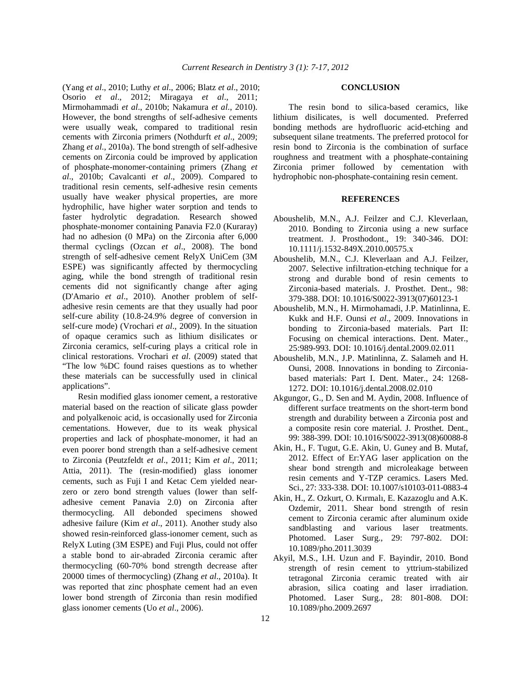(Yang *et al*., 2010; Luthy *et al*., 2006; Blatz *et al*., 2010; Osorio *et al*., 2012; Miragaya *et al*., 2011; Mirmohammadi *et al*., 2010b; Nakamura *et al*., 2010). However, the bond strengths of self-adhesive cements were usually weak, compared to traditional resin cements with Zirconia primers (Nothdurft *et al*., 2009; Zhang *et al*., 2010a). The bond strength of self-adhesive cements on Zirconia could be improved by application of phosphate-monomer-containing primers (Zhang *et al*., 2010b; Cavalcanti *et al*., 2009). Compared to traditional resin cements, self-adhesive resin cements usually have weaker physical properties, are more hydrophilic, have higher water sorption and tends to faster hydrolytic degradation. Research showed phosphate-monomer containing Panavia F2.0 (Kuraray) had no adhesion (0 MPa) on the Zirconia after 6,000 thermal cyclings (Ozcan *et al*., 2008). The bond strength of self-adhesive cement RelyX UniCem (3M ESPE) was significantly affected by thermocycling aging, while the bond strength of traditional resin cements did not significantly change after aging (D'Amario *et al*., 2010). Another problem of selfadhesive resin cements are that they usually had poor self-cure ability (10.8-24.9% degree of conversion in self-cure mode) (Vrochari *et al*., 2009). In the situation of opaque ceramics such as lithium disilicates or Zirconia ceramics, self-curing plays a critical role in clinical restorations. Vrochari *et al*. (2009) stated that "The low %DC found raises questions as to whether these materials can be successfully used in clinical applications".

 Resin modified glass ionomer cement, a restorative material based on the reaction of silicate glass powder and polyalkenoic acid, is occasionally used for Zirconia cementations. However, due to its weak physical properties and lack of phosphate-monomer, it had an even poorer bond strength than a self-adhesive cement to Zirconia (Peutzfeldt *et al*., 2011; Kim *et al*., 2011; Attia, 2011). The (resin-modified) glass ionomer cements, such as Fuji I and Ketac Cem yielded nearzero or zero bond strength values (lower than selfadhesive cement Panavia 2.0) on Zirconia after thermocycling. All debonded specimens showed adhesive failure (Kim *et al*., 2011). Another study also showed resin-reinforced glass-ionomer cement, such as RelyX Luting (3M ESPE) and Fuji Plus, could not offer a stable bond to air-abraded Zirconia ceramic after thermocycling (60-70% bond strength decrease after 20000 times of thermocycling) (Zhang *et al*., 2010a). It was reported that zinc phosphate cement had an even lower bond strength of Zirconia than resin modified glass ionomer cements (Uo *et al*., 2006).

#### **CONCLUSION**

 The resin bond to silica-based ceramics, like lithium disilicates, is well documented. Preferred bonding methods are hydrofluoric acid-etching and subsequent silane treatments. The preferred protocol for resin bond to Zirconia is the combination of surface roughness and treatment with a phosphate-containing Zirconia primer followed by cementation with hydrophobic non-phosphate-containing resin cement.

# **REFERENCES**

- Aboushelib, M.N., A.J. Feilzer and C.J. Kleverlaan, 2010. Bonding to Zirconia using a new surface treatment. J. Prosthodont., 19: 340-346. DOI: 10.1111/j.1532-849X.2010.00575.x
- Aboushelib, M.N., C.J. Kleverlaan and A.J. Feilzer, 2007. Selective infiltration-etching technique for a strong and durable bond of resin cements to Zirconia-based materials. J. Prosthet. Dent., 98: 379-388. DOI: 10.1016/S0022-3913(07)60123-1
- Aboushelib, M.N., H. Mirmohamadi, J.P. Matinlinna, E. Kukk and H.F. Ounsi *et al*., 2009. Innovations in bonding to Zirconia-based materials. Part II: Focusing on chemical interactions. Dent. Mater., 25:989-993. DOI: 10.1016/j.dental.2009.02.011
- Aboushelib, M.N., J.P. Matinlinna, Z. Salameh and H. Ounsi, 2008. Innovations in bonding to Zirconiabased materials: Part I. Dent. Mater., 24: 1268- 1272. DOI: 10.1016/j.dental.2008.02.010
- Akgungor, G., D. Sen and M. Aydin, 2008. Influence of different surface treatments on the short-term bond strength and durability between a Zirconia post and a composite resin core material. J. Prosthet. Dent., 99: 388-399. DOI: 10.1016/S0022-3913(08)60088-8
- Akin, H., F. Tugut, G.E. Akin, U. Guney and B. Mutaf, 2012. Effect of Er:YAG laser application on the shear bond strength and microleakage between resin cements and Y-TZP ceramics. Lasers Med. Sci., 27: 333-338. DOI: 10.1007/s10103-011-0883-4
- Akin, H., Z. Ozkurt, O. Kırmalı, E. Kazazoglu and A.K. Ozdemir, 2011. Shear bond strength of resin cement to Zirconia ceramic after aluminum oxide sandblasting and various laser treatments. Photomed. Laser Surg., 29: 797-802. DOI: 10.1089/pho.2011.3039
- Akyil, M.S., I.H. Uzun and F. Bayindir, 2010. Bond strength of resin cement to yttrium-stabilized tetragonal Zirconia ceramic treated with air abrasion, silica coating and laser irradiation. Photomed. Laser Surg., 28: 801-808. DOI: 10.1089/pho.2009.2697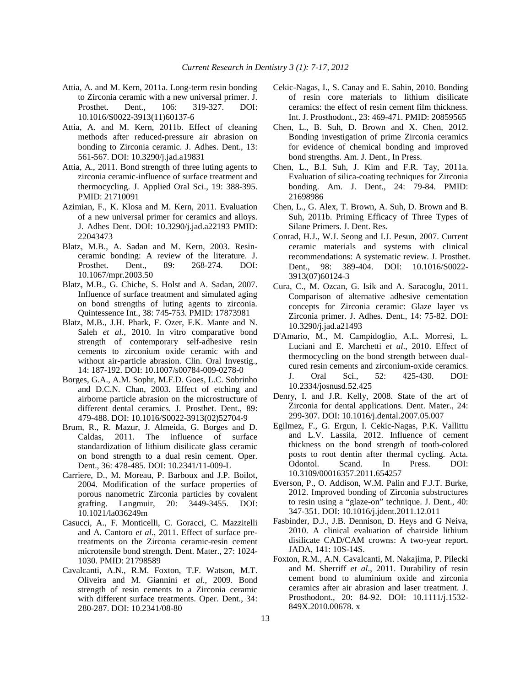- Attia, A. and M. Kern, 2011a. Long-term resin bonding to Zirconia ceramic with a new universal primer. J. Prosthet. Dent., 106: 319-327. DOI: 10.1016/S0022-3913(11)60137-6
- Attia, A. and M. Kern, 2011b. Effect of cleaning methods after reduced-pressure air abrasion on bonding to Zirconia ceramic. J. Adhes. Dent., 13: 561-567. DOI: 10.3290/j.jad.a19831
- Attia, A., 2011. Bond strength of three luting agents to zirconia ceramic-influence of surface treatment and thermocycling. J. Applied Oral Sci., 19: 388-395. PMID: 21710091
- Azimian, F., K. Klosa and M. Kern, 2011. Evaluation of a new universal primer for ceramics and alloys. J. Adhes Dent. DOI: 10.3290/j.jad.a22193 PMID: 22043473
- Blatz, M.B., A. Sadan and M. Kern, 2003. Resinceramic bonding: A review of the literature. J. Prosthet. Dent., 89: 268-274. DOI: 10.1067/mpr.2003.50
- Blatz, M.B., G. Chiche, S. Holst and A. Sadan, 2007. Influence of surface treatment and simulated aging on bond strengths of luting agents to zirconia. Quintessence Int., 38: 745-753. PMID: 17873981
- Blatz, M.B., J.H. Phark, F. Ozer, F.K. Mante and N. Saleh *et al*., 2010. In vitro comparative bond strength of contemporary self-adhesive resin cements to zirconium oxide ceramic with and without air-particle abrasion. Clin. Oral Investig., 14: 187-192. DOI: 10.1007/s00784-009-0278-0
- Borges, G.A., A.M. Sophr, M.F.D. Goes, L.C. Sobrinho and D.C.N. Chan, 2003. Effect of etching and airborne particle abrasion on the microstructure of different dental ceramics. J. Prosthet. Dent., 89: 479-488. DOI: 10.1016/S0022-3913(02)52704-9
- Brum, R., R. Mazur, J. Almeida, G. Borges and D. Caldas, 2011. The influence of surface standardization of lithium disilicate glass ceramic on bond strength to a dual resin cement. Oper. Dent., 36: 478-485. DOI: 10.2341/11-009-L
- Carriere, D., M. Moreau, P. Barboux and J.P. Boilot, 2004. Modification of the surface properties of porous nanometric Zirconia particles by covalent grafting. Langmuir, 20: 3449-3455. DOI: 10.1021/la036249m
- Casucci, A., F. Monticelli, C. Goracci, C. Mazzitelli and A. Cantoro *et al*., 2011. Effect of surface pretreatments on the Zirconia ceramic-resin cement microtensile bond strength. Dent. Mater., 27: 1024- 1030. PMID: 21798589
- Cavalcanti, A.N., R.M. Foxton, T.F. Watson, M.T. Oliveira and M. Giannini *et al*., 2009. Bond strength of resin cements to a Zirconia ceramic with different surface treatments. Oper. Dent., 34: 280-287. DOI: 10.2341/08-80
- Cekic-Nagas, I., S. Canay and E. Sahin, 2010. Bonding of resin core materials to lithium disilicate ceramics: the effect of resin cement film thickness. Int. J. Prosthodont., 23: 469-471. PMID: 20859565
- Chen, L., B. Suh, D. Brown and X. Chen, 2012. Bonding investigation of prime Zirconia ceramics for evidence of chemical bonding and improved bond strengths. Am. J. Dent., In Press.
- Chen, L., B.I. Suh, J. Kim and F.R. Tay, 2011a. Evaluation of silica-coating techniques for Zirconia bonding. Am. J. Dent., 24: 79-84. PMID: 21698986
- Chen, L., G. Alex, T. Brown, A. Suh, D. Brown and B. Suh, 2011b. Priming Efficacy of Three Types of Silane Primers. J. Dent. Res.
- Conrad, H.J., W.J. Seong and I.J. Pesun, 2007. Current ceramic materials and systems with clinical recommendations: A systematic review. J. Prosthet. Dent., 98: 389-404. DOI: 10.1016/S0022- 3913(07)60124-3
- Cura, C., M. Ozcan, G. Isik and A. Saracoglu, 2011. Comparison of alternative adhesive cementation concepts for Zirconia ceramic: Glaze layer vs Zirconia primer. J. Adhes. Dent., 14: 75-82. DOI: 10.3290/j.jad.a21493
- D'Amario, M., M. Campidoglio, A.L. Morresi, L. Luciani and E. Marchetti *et al*., 2010. Effect of thermocycling on the bond strength between dualcured resin cements and zirconium-oxide ceramics. J. Oral Sci., 52: 425-430. DOI: 10.2334/josnusd.52.425
- Denry, I. and J.R. Kelly, 2008. State of the art of Zirconia for dental applications. Dent. Mater., 24: 299-307. DOI: 10.1016/j.dental.2007.05.007
- Egilmez, F., G. Ergun, I. Cekic-Nagas, P.K. Vallittu and L.V. Lassila, 2012. Influence of cement thickness on the bond strength of tooth-colored posts to root dentin after thermal cycling. Acta. Odontol. Scand. In Press. DOI: 10.3109/00016357.2011.654257
- Everson, P., O. Addison, W.M. Palin and F.J.T. Burke, 2012. Improved bonding of Zirconia substructures to resin using a "glaze-on" technique. J. Dent., 40: 347-351. DOI: 10.1016/j.jdent.2011.12.011
- Fasbinder, D.J., J.B. Dennison, D. Heys and G Neiva, 2010. A clinical evaluation of chairside lithium disilicate CAD/CAM crowns: A two-year report. JADA, 141: 10S-14S.
- Foxton, R.M., A.N. Cavalcanti, M. Nakajima, P. Pilecki and M. Sherriff *et al*., 2011. Durability of resin cement bond to aluminium oxide and zirconia ceramics after air abrasion and laser treatment. J. Prosthodont., 20: 84-92. DOI: 10.1111/j.1532- 849X.2010.00678. x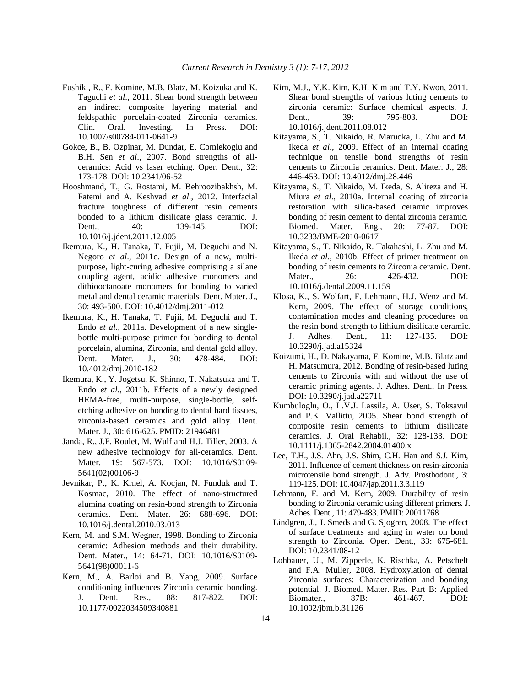- Fushiki, R., F. Komine, M.B. Blatz, M. Koizuka and K. Taguchi *et al*., 2011. Shear bond strength between an indirect composite layering material and feldspathic porcelain-coated Zirconia ceramics. Clin. Oral. Investing. In Press. DOI: 10.1007/s00784-011-0641-9
- Gokce, B., B. Ozpinar, M. Dundar, E. Comlekoglu and B.H. Sen *et al*., 2007. Bond strengths of allceramics: Acid vs laser etching. Oper. Dent., 32: 173-178. DOI: 10.2341/06-52
- Hooshmand, T., G. Rostami, M. Behroozibakhsh, M. Fatemi and A. Keshvad *et al*., 2012. Interfacial fracture toughness of different resin cements bonded to a lithium disilicate glass ceramic. J. Dent., 40: 139-145. DOI: 10.1016/j.jdent.2011.12.005
- Ikemura, K., H. Tanaka, T. Fujii, M. Deguchi and N. Negoro *et al*., 2011c. Design of a new, multipurpose, light-curing adhesive comprising a silane coupling agent, acidic adhesive monomers and dithiooctanoate monomers for bonding to varied metal and dental ceramic materials. Dent. Mater. J., 30: 493-500. DOI: 10.4012/dmj.2011-012
- Ikemura, K., H. Tanaka, T. Fujii, M. Deguchi and T. Endo *et al*., 2011a. Development of a new singlebottle multi-purpose primer for bonding to dental porcelain, alumina, Zirconia, and dental gold alloy. Dent. Mater. J., 30: 478-484. DOI: 10.4012/dmj.2010-182
- Ikemura, K., Y. Jogetsu, K. Shinno, T. Nakatsuka and T. Endo *et al*., 2011b. Effects of a newly designed HEMA-free, multi-purpose, single-bottle, selfetching adhesive on bonding to dental hard tissues, zirconia-based ceramics and gold alloy. Dent. Mater. J., 30: 616-625. PMID: 21946481
- Janda, R., J.F. Roulet, M. Wulf and H.J. Tiller, 2003. A new adhesive technology for all-ceramics. Dent. Mater. 19: 567-573. DOI: 10.1016/S0109- 5641(02)00106-9
- Jevnikar, P., K. Krnel, A. Kocjan, N. Funduk and T. Kosmac, 2010. The effect of nano-structured alumina coating on resin-bond strength to Zirconia ceramics. Dent. Mater. 26: 688-696. DOI: 10.1016/j.dental.2010.03.013
- Kern, M. and S.M. Wegner, 1998. Bonding to Zirconia ceramic: Adhesion methods and their durability. Dent. Mater., 14: 64-71. DOI: 10.1016/S0109- 5641(98)00011-6
- Kern, M., A. Barloi and B. Yang, 2009. Surface conditioning influences Zirconia ceramic bonding. J. Dent. Res., 88: 817-822. DOI: 10.1177/0022034509340881
- Kim, M.J., Y.K. Kim, K.H. Kim and T.Y. Kwon, 2011. Shear bond strengths of various luting cements to zirconia ceramic: Surface chemical aspects. J. Dent., 39: 795-803. DOI: 10.1016/j.jdent.2011.08.012
- Kitayama, S., T. Nikaido, R. Maruoka, L. Zhu and M. Ikeda *et al*., 2009. Effect of an internal coating technique on tensile bond strengths of resin cements to Zirconia ceramics. Dent. Mater. J., 28: 446-453. DOI: 10.4012/dmj.28.446
- Kitayama, S., T. Nikaido, M. Ikeda, S. Alireza and H. Miura *et al*., 2010a. Internal coating of zirconia restoration with silica-based ceramic improves bonding of resin cement to dental zirconia ceramic. Biomed. Mater. Eng., 20: 77-87. DOI: 10.3233/BME-2010-0617
- Kitayama, S., T. Nikaido, R. Takahashi, L. Zhu and M. Ikeda *et al*., 2010b. Effect of primer treatment on bonding of resin cements to Zirconia ceramic. Dent. Mater., 26: 426-432. DOI: 10.1016/j.dental.2009.11.159
- Klosa, K., S. Wolfart, F. Lehmann, H.J. Wenz and M. Kern, 2009. The effect of storage conditions, contamination modes and cleaning procedures on the resin bond strength to lithium disilicate ceramic. J. Adhes. Dent., 11: 127-135. DOI: 10.3290/j.jad.a15324
- Koizumi, H., D. Nakayama, F. Komine, M.B. Blatz and H. Matsumura, 2012. Bonding of resin-based luting cements to Zirconia with and without the use of ceramic priming agents. J. Adhes. Dent., In Press. DOI: 10.3290/j.jad.a22711
- Kumbuloglu, O., L.V.J. Lassila, A. User, S. Toksavul and P.K. Vallittu, 2005. Shear bond strength of composite resin cements to lithium disilicate ceramics. J. Oral Rehabil., 32: 128-133. DOI: 10.1111/j.1365-2842.2004.01400.x
- Lee, T.H., J.S. Ahn, J.S. Shim, C.H. Han and S.J. Kim, 2011. Influence of cement thickness on resin-zirconia microtensile bond strength. J. Adv. Prosthodont., 3: 119-125. DOI: 10.4047/jap.2011.3.3.119
- Lehmann, F. and M. Kern, 2009. Durability of resin bonding to Zirconia ceramic using different primers. J. Adhes. Dent., 11: 479-483. PMID: 20011768
- Lindgren, J., J. Smeds and G. Sjogren, 2008. The effect of surface treatments and aging in water on bond strength to Zirconia. Oper. Dent., 33: 675-681. DOI: 10.2341/08-12
- Lohbauer, U., M. Zipperle, K. Rischka, A. Petschelt and F.A. Muller, 2008. Hydroxylation of dental Zirconia surfaces: Characterization and bonding potential. J. Biomed. Mater. Res. Part B: Applied Biomater., 87B: 461-467. DOI: 10.1002/jbm.b.31126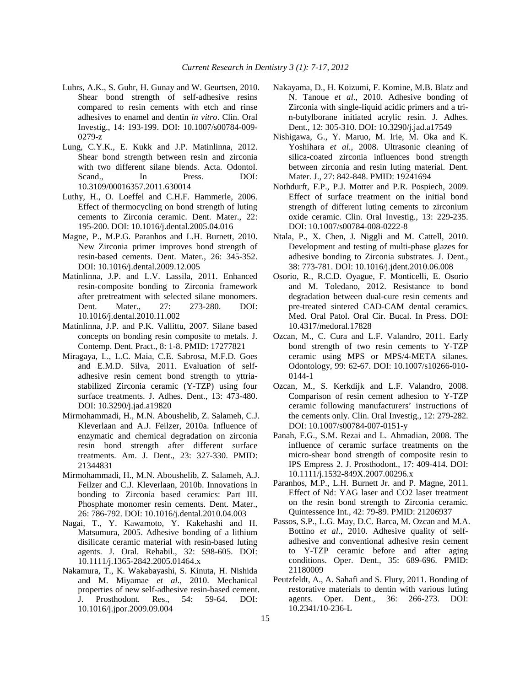- Luhrs, A.K., S. Guhr, H. Gunay and W. Geurtsen, 2010. Shear bond strength of self-adhesive resins compared to resin cements with etch and rinse adhesives to enamel and dentin *in vitro*. Clin. Oral Investig., 14: 193-199. DOI: 10.1007/s00784-009- 0279-z
- Lung, C.Y.K., E. Kukk and J.P. Matinlinna, 2012. Shear bond strength between resin and zirconia with two different silane blends. Acta. Odontol. Scand., In Press. DOI: 10.3109/00016357.2011.630014
- Luthy, H., O. Loeffel and C.H.F. Hammerle, 2006. Effect of thermocycling on bond strength of luting cements to Zirconia ceramic. Dent. Mater., 22: 195-200. DOI: 10.1016/j.dental.2005.04.016
- Magne, P., M.P.G. Paranhos and L.H. Burnett, 2010. New Zirconia primer improves bond strength of resin-based cements. Dent. Mater., 26: 345-352. DOI: 10.1016/j.dental.2009.12.005
- Matinlinna, J.P. and L.V. Lassila, 2011. Enhanced resin-composite bonding to Zirconia framework after pretreatment with selected silane monomers. Dent. Mater., 27: 273-280. DOI: 10.1016/j.dental.2010.11.002
- Matinlinna, J.P. and P.K. Vallittu, 2007. Silane based concepts on bonding resin composite to metals. J. Contemp. Dent. Pract., 8: 1-8. PMID: 17277821
- Miragaya, L., L.C. Maia, C.E. Sabrosa, M.F.D. Goes and E.M.D. Silva, 2011. Evaluation of selfadhesive resin cement bond strength to yttriastabilized Zirconia ceramic (Y-TZP) using four surface treatments. J. Adhes. Dent., 13: 473-480. DOI: 10.3290/j.jad.a19820
- Mirmohammadi, H., M.N. Aboushelib, Z. Salameh, C.J. Kleverlaan and A.J. Feilzer, 2010a. Influence of enzymatic and chemical degradation on zirconia resin bond strength after different surface treatments. Am. J. Dent., 23: 327-330. PMID: 21344831
- Mirmohammadi, H., M.N. Aboushelib, Z. Salameh, A.J. Feilzer and C.J. Kleverlaan, 2010b. Innovations in bonding to Zirconia based ceramics: Part III. Phosphate monomer resin cements. Dent. Mater., 26: 786-792. DOI: 10.1016/j.dental.2010.04.003
- Nagai, T., Y. Kawamoto, Y. Kakehashi and H. Matsumura, 2005. Adhesive bonding of a lithium disilicate ceramic material with resin-based luting agents. J. Oral. Rehabil., 32: 598-605. DOI: 10.1111/j.1365-2842.2005.01464.x
- Nakamura, T., K. Wakabayashi, S. Kinuta, H. Nishida and M. Miyamae *et al*., 2010. Mechanical properties of new self-adhesive resin-based cement. J. Prosthodont. Res., 54: 59-64. DOI: 10.1016/j.jpor.2009.09.004
- Nakayama, D., H. Koizumi, F. Komine, M.B. Blatz and N. Tanoue *et al*., 2010. Adhesive bonding of Zirconia with single-liquid acidic primers and a trin-butylborane initiated acrylic resin. J. Adhes. Dent., 12: 305-310. DOI: 10.3290/j.jad.a17549
- Nishigawa, G., Y. Maruo, M. Irie, M. Oka and K. Yoshihara *et al*., 2008. Ultrasonic cleaning of silica-coated zirconia influences bond strength between zirconia and resin luting material. Dent. Mater. J., 27: 842-848. PMID: 19241694
- Nothdurft, F.P., P.J. Motter and P.R. Pospiech, 2009. Effect of surface treatment on the initial bond strength of different luting cements to zirconium oxide ceramic. Clin. Oral Investig., 13: 229-235. DOI: 10.1007/s00784-008-0222-8
- Ntala, P., X. Chen, J. Niggli and M. Cattell, 2010. Development and testing of multi-phase glazes for adhesive bonding to Zirconia substrates. J. Dent., 38: 773-781. DOI: 10.1016/j.jdent.2010.06.008
- Osorio, R., R.C.D. Oyague, F. Monticelli, E. Osorio and M. Toledano, 2012. Resistance to bond degradation between dual-cure resin cements and pre-treated sintered CAD-CAM dental ceramics. Med. Oral Patol. Oral Cir. Bucal. In Press. DOI: 10.4317/medoral.17828
- Ozcan, M., C. Cura and L.F. Valandro, 2011. Early bond strength of two resin cements to Y-TZP ceramic using MPS or MPS/4-META silanes. Odontology, 99: 62-67. DOI: 10.1007/s10266-010- 0144-1
- Ozcan, M., S. Kerkdijk and L.F. Valandro, 2008. Comparison of resin cement adhesion to Y-TZP ceramic following manufacturers' instructions of the cements only. Clin. Oral Investig., 12: 279-282. DOI: 10.1007/s00784-007-0151-y
- Panah, F.G., S.M. Rezai and L. Ahmadian, 2008. The influence of ceramic surface treatments on the micro-shear bond strength of composite resin to IPS Empress 2. J. Prosthodont., 17: 409-414. DOI: 10.1111/j.1532-849X.2007.00296.x
- Paranhos, M.P., L.H. Burnett Jr. and P. Magne, 2011. Effect of Nd: YAG laser and CO2 laser treatment on the resin bond strength to Zirconia ceramic. Quintessence Int., 42: 79-89. PMID: 21206937
- Passos, S.P., L.G. May, D.C. Barca, M. Ozcan and M.A. Bottino *et al*., 2010. Adhesive quality of selfadhesive and conventional adhesive resin cement to Y-TZP ceramic before and after aging conditions. Oper. Dent., 35: 689-696. PMID: 21180009
- Peutzfeldt, A., A. Sahafi and S. Flury, 2011. Bonding of restorative materials to dentin with various luting agents. Oper. Dent., 36: 266-273. DOI: 10.2341/10-236-L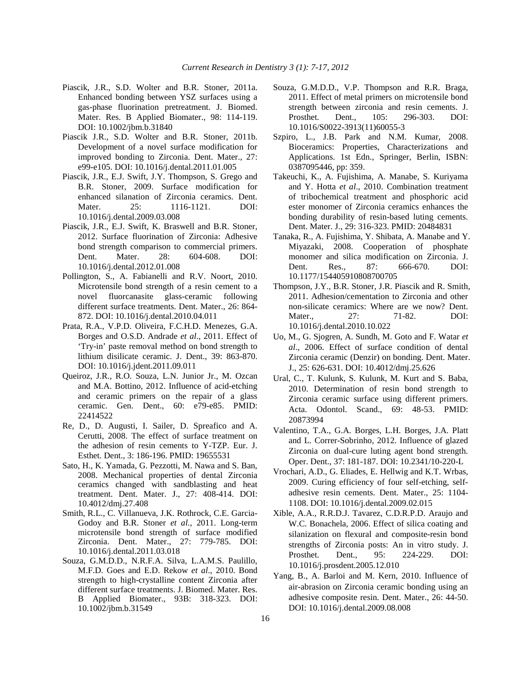- Piascik, J.R., S.D. Wolter and B.R. Stoner, 2011a. Enhanced bonding between YSZ surfaces using a gas-phase fluorination pretreatment. J. Biomed. Mater. Res. B Applied Biomater., 98: 114-119. DOI: 10.1002/jbm.b.31840
- Piascik J.R., S.D. Wolter and B.R. Stoner, 2011b. Development of a novel surface modification for improved bonding to Zirconia. Dent. Mater., 27: e99-e105. DOI: 10.1016/j.dental.2011.01.005
- Piascik, J.R., E.J. Swift, J.Y. Thompson, S. Grego and B.R. Stoner, 2009. Surface modification for enhanced silanation of Zirconia ceramics. Dent. Mater. 25: 1116-1121. DOI: 10.1016/j.dental.2009.03.008
- Piascik, J.R., E.J. Swift, K. Braswell and B.R. Stoner, 2012. Surface fluorination of Zirconia: Adhesive bond strength comparison to commercial primers. Dent. Mater. 28: 604-608. DOI: 10.1016/j.dental.2012.01.008
- Pollington, S., A. Fabianelli and R.V. Noort, 2010. Microtensile bond strength of a resin cement to a novel fluorcanasite glass-ceramic following different surface treatments. Dent. Mater., 26: 864- 872. DOI: 10.1016/j.dental.2010.04.011
- Prata, R.A., V.P.D. Oliveira, F.C.H.D. Menezes, G.A. Borges and O.S.D. Andrade *et al*., 2011. Effect of 'Try-in' paste removal method on bond strength to lithium disilicate ceramic. J. Dent., 39: 863-870. DOI: 10.1016/j.jdent.2011.09.011
- Queiroz, J.R., R.O. Souza, L.N. Junior Jr., M. Ozcan and M.A. Bottino, 2012. Influence of acid-etching and ceramic primers on the repair of a glass ceramic. Gen. Dent., 60: e79-e85. PMID: 22414522
- Re, D., D. Augusti, I. Sailer, D. Spreafico and A. Cerutti, 2008. The effect of surface treatment on the adhesion of resin cements to Y-TZP. Eur. J. Esthet. Dent., 3: 186-196. PMID: 19655531
- Sato, H., K. Yamada, G. Pezzotti, M. Nawa and S. Ban, 2008. Mechanical properties of dental Zirconia ceramics changed with sandblasting and heat treatment. Dent. Mater. J., 27: 408-414. DOI: 10.4012/dmj.27.408
- Smith, R.L., C. Villanueva, J.K. Rothrock, C.E. Garcia-Godoy and B.R. Stoner *et al*., 2011. Long-term microtensile bond strength of surface modified Zirconia. Dent. Mater., 27: 779-785. DOI: 10.1016/j.dental.2011.03.018
- Souza, G.M.D.D., N.R.F.A. Silva, L.A.M.S. Paulillo, M.F.D. Goes and E.D. Rekow *et al*., 2010. Bond strength to high-crystalline content Zirconia after different surface treatments. J. Biomed. Mater. Res. B Applied Biomater., 93B: 318-323. DOI: 10.1002/jbm.b.31549
- Souza, G.M.D.D., V.P. Thompson and R.R. Braga, 2011. Effect of metal primers on microtensile bond strength between zirconia and resin cements. J. Prosthet. Dent., 105: 296-303. DOI: 10.1016/S0022-3913(11)60055-3
- Szpiro, L., J.B. Park and N.M. Kumar, 2008. Bioceramics: Properties, Characterizations and Applications. 1st Edn., Springer, Berlin, ISBN: 0387095446, pp: 359.
- Takeuchi, K., A. Fujishima, A. Manabe, S. Kuriyama and Y. Hotta *et al*., 2010. Combination treatment of tribochemical treatment and phosphoric acid ester monomer of Zirconia ceramics enhances the bonding durability of resin-based luting cements. Dent. Mater. J., 29: 316-323. PMID: 20484831
- Tanaka, R., A. Fujishima, Y. Shibata, A. Manabe and Y. Miyazaki, 2008. Cooperation of phosphate monomer and silica modification on Zirconia. J. Dent. Res., 87: 666-670. DOI: 10.1177/154405910808700705
- Thompson, J.Y., B.R. Stoner, J.R. Piascik and R. Smith, 2011. Adhesion/cementation to Zirconia and other non-silicate ceramics: Where are we now? Dent. Mater.. 27: 71-82. DOI: 10.1016/j.dental.2010.10.022
- Uo, M., G. Sjogren, A. Sundh, M. Goto and F. Watar *et al*., 2006. Effect of surface condition of dental Zirconia ceramic (Denzir) on bonding. Dent. Mater. J., 25: 626-631. DOI: 10.4012/dmj.25.626
- Ural, C., T. Kulunk, S. Kulunk, M. Kurt and S. Baba, 2010. Determination of resin bond strength to Zirconia ceramic surface using different primers. Acta. Odontol. Scand., 69: 48-53. PMID: 20873994
- Valentino, T.A., G.A. Borges, L.H. Borges, J.A. Platt and L. Correr-Sobrinho, 2012. Influence of glazed Zirconia on dual-cure luting agent bond strength. Oper. Dent., 37: 181-187. DOI: 10.2341/10-220-L
- Vrochari, A.D., G. Eliades, E. Hellwig and K.T. Wrbas, 2009. Curing efficiency of four self-etching, selfadhesive resin cements. Dent. Mater., 25: 1104- 1108. DOI: 10.1016/j.dental.2009.02.015
- Xible, A.A., R.R.D.J. Tavarez, C.D.R.P.D. Araujo and W.C. Bonachela, 2006. Effect of silica coating and silanization on flexural and composite-resin bond strengths of Zirconia posts: An in vitro study. J. Prosthet. Dent., 95: 224-229. DOI: 10.1016/j.prosdent.2005.12.010
- Yang, B., A. Barloi and M. Kern, 2010. Influence of air-abrasion on Zirconia ceramic bonding using an adhesive composite resin. Dent. Mater., 26: 44-50. DOI: 10.1016/j.dental.2009.08.008